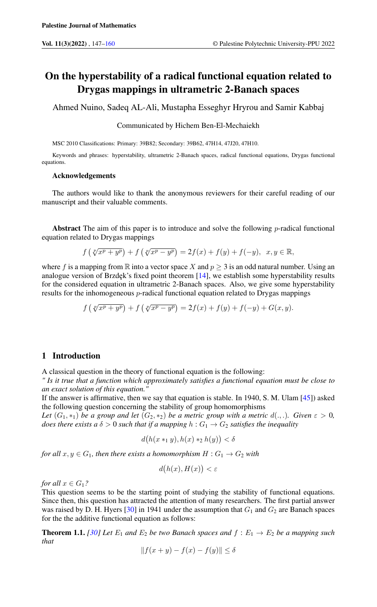# On the hyperstability of a radical functional equation related to Drygas mappings in ultrametric 2-Banach spaces

Ahmed Nuino, Sadeq AL-Ali, Mustapha Esseghyr Hryrou and Samir Kabbaj

#### Communicated by Hichem Ben-El-Mechaiekh

MSC 2010 Classifications: Primary: 39B82; Secondary: 39B62, 47H14, 47J20, 47H10.

Keywords and phrases: hyperstability, ultrametric 2-Banach spaces, radical functional equations, Drygas functional equations.

#### Acknowledgements

The authors would like to thank the anonymous reviewers for their careful reading of our manuscript and their valuable comments.

Abstract The aim of this paper is to introduce and solve the following  $p$ -radical functional equation related to Drygas mappings

$$
f\left(\sqrt[p]{x^p+y^p}\right)+f\left(\sqrt[p]{x^p-y^p}\right)=2f(x)+f(y)+f(-y), x, y \in \mathbb{R},
$$

where f is a mapping from R into a vector space X and  $p \geq 3$  is an odd natural number. Using an analogue version of Brzdęk's fixed point theorem  $[14]$ , we establish some hyperstability results for the considered equation in ultrametric 2-Banach spaces. Also, we give some hyperstability results for the inhomogeneous  $p$ -radical functional equation related to Drygas mappings

$$
f(\sqrt[p]{x^p + y^p}) + f(\sqrt[p]{x^p - y^p}) = 2f(x) + f(y) + f(-y) + G(x, y).
$$

## 1 Introduction

A classical question in the theory of functional equation is the following:

*" Is it true that a function which approximately satisfies a functional equation must be close to an exact solution of this equation."*

If the answer is affirmative, then we say that equation is stable. In 1940, S. M. Ulam [\[45\]](#page-13-0)) asked the following question concerning the stability of group homomorphisms

*Let*  $(G_1, *_1)$  *be a group and let*  $(G_2, *_2)$  *be a metric group with a metric*  $d(., .)$ *. Given*  $\varepsilon > 0$ *, does there exists a*  $\delta > 0$  *such that if a mapping*  $h : G_1 \to G_2$  *satisfies the inequality* 

$$
d\big(h(x*_1y),h(x)*_2h(y)\big)<\delta
$$

*for all*  $x, y \in G_1$ *, then there exists a homomorphism*  $H : G_1 \rightarrow G_2$  *with* 

$$
d(h(x), H(x)) < \varepsilon
$$

*for all*  $x \in G_1$ ?

This question seems to be the starting point of studying the stability of functional equations. Since then, this question has attracted the attention of many researchers. The first partial answer was raised by D. H. Hyers [\[30\]](#page-12-0) in 1941 under the assumption that  $G_1$  and  $G_2$  are Banach spaces for the the additive functional equation as follows:

<span id="page-0-0"></span>**Theorem 1.1.** [\[30\]](#page-12-0) Let  $E_1$  and  $E_2$  be two Banach spaces and  $f : E_1 \rightarrow E_2$  be a mapping such *that*

$$
||f(x+y) - f(x) - f(y)|| \le \delta
$$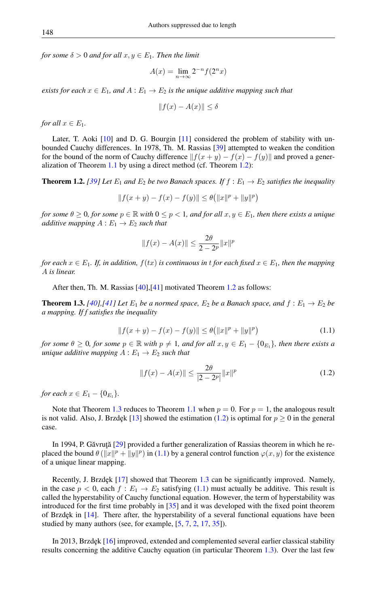*for some*  $\delta > 0$  *and for all*  $x, y \in E_1$ *. Then the limit* 

$$
A(x) = \lim_{n \to \infty} 2^{-n} f(2^n x)
$$

*exists for each*  $x \in E_1$ , and  $A : E_1 \to E_2$  *is the unique additive mapping such that* 

$$
||f(x) - A(x)|| \le \delta
$$

*for all*  $x \in E_1$ *.* 

Later, T. Aoki [\[10\]](#page-11-2) and D. G. Bourgin [\[11\]](#page-11-3) considered the problem of stability with unbounded Cauchy differences. In 1978, Th. M. Rassias [\[39\]](#page-12-1) attempted to weaken the condition for the bound of the norm of Cauchy difference  $||f(x + y) - f(x) - f(y)||$  and proved a generalization of Theorem [1.1](#page-0-0) by using a direct method (cf. Theorem [1.2\)](#page-1-0):

<span id="page-1-0"></span>**Theorem 1.2.** [\[39\]](#page-12-1) Let  $E_1$  and  $E_2$  be two Banach spaces. If  $f : E_1 \rightarrow E_2$  satisfies the inequality

$$
||f(x + y) - f(x) - f(y)|| \le \theta (||x||^p + ||y||^p)
$$

*for some*  $\theta \geq 0$ *, for some*  $p \in \mathbb{R}$  *with*  $0 \leq p < 1$ *, and for all*  $x, y \in E_1$ *, then there exists a unique additive mapping*  $A: E_1 \rightarrow E_2$  *such that* 

$$
||f(x) - A(x)|| \le \frac{2\theta}{2 - 2^p} ||x||^p
$$

*for each*  $x \in E_1$ . If, in addition,  $f(tx)$  is continuous in t for each fixed  $x \in E_1$ , then the mapping A *is linear.*

After then, Th. M. Rassias [\[40\]](#page-12-2),[\[41\]](#page-12-3) motivated Theorem [1.2](#page-1-0) as follows:

<span id="page-1-3"></span><span id="page-1-1"></span>**Theorem 1.3.** *[\[40\]](#page-12-2)*,*[\[41\]](#page-12-3) Let*  $E_1$  *be a normed space,*  $E_2$  *be a Banach space, and*  $f : E_1 \rightarrow E_2$  *be a mapping. If f satisfies the inequality*

$$
||f(x + y) - f(x) - f(y)|| \le \theta (||x||^{p} + ||y||^{p})
$$
\n(1.1)

*for some*  $\theta \geq 0$ *, for some*  $p \in \mathbb{R}$  *with*  $p \neq 1$ *, and for all*  $x, y \in E_1 - \{0_{E_1}\}$ *, then there exists a unique additive mapping*  $A: E_1 \rightarrow E_2$  *such that* 

<span id="page-1-2"></span>
$$
||f(x) - A(x)|| \le \frac{2\theta}{|2 - 2^p|} ||x||^p
$$
\n(1.2)

*for each*  $x \in E_1 - \{0_{E_1}\}.$ 

Note that Theorem [1.3](#page-1-1) reduces to Theorem [1.1](#page-0-0) when  $p = 0$ . For  $p = 1$ , the analogous result is not valid. Also, J. Brzdęk [\[13\]](#page-11-4) showed the estimation [\(1.2\)](#page-1-2) is optimal for  $p \ge 0$  in the general case.

In 1994, P. Găvruță [[29\]](#page-12-4) provided a further generalization of Rassias theorem in which he replaced the bound  $\theta(||x||^p + ||y||^p)$  in [\(1.1\)](#page-1-3) by a general control function  $\varphi(x, y)$  for the existence of a unique linear mapping.

Recently, J. Brzdęk  $[17]$  showed that Theorem [1.3](#page-1-1) can be significantly improved. Namely, in the case  $p < 0$ , each  $f : E_1 \rightarrow E_2$  satisfying [\(1.1\)](#page-1-3) must actually be additive. This result is called the hyperstability of Cauchy functional equation. However, the term of hyperstability was introduced for the first time probably in [\[35\]](#page-12-6) and it was developed with the fixed point theorem of Brzdęk in  $[14]$ . There after, the hyperstability of a several functional equations have been studied by many authors (see, for example,  $[5, 7, 2, 17, 35]$  $[5, 7, 2, 17, 35]$  $[5, 7, 2, 17, 35]$  $[5, 7, 2, 17, 35]$  $[5, 7, 2, 17, 35]$  $[5, 7, 2, 17, 35]$  $[5, 7, 2, 17, 35]$  $[5, 7, 2, 17, 35]$  $[5, 7, 2, 17, 35]$ ).

In 2013, Brzdęk [\[16\]](#page-12-7) improved, extended and complemented several earlier classical stability results concerning the additive Cauchy equation (in particular Theorem [1.3\)](#page-1-1). Over the last few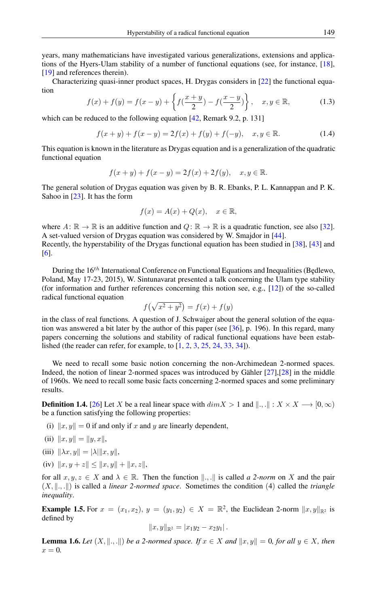Hyperstability of a radical functional equation 149

years, many mathematicians have investigated various generalizations, extensions and applications of the Hyers-Ulam stability of a number of functional equations (see, for instance, [\[18\]](#page-12-8), [\[19\]](#page-12-9) and references therein).

Characterizing quasi-inner product spaces, H. Drygas considers in [\[22\]](#page-12-10) the functional equation

$$
f(x) + f(y) = f(x - y) + \left\{ f(\frac{x + y}{2}) - f(\frac{x - y}{2}) \right\}, \quad x, y \in \mathbb{R},
$$
 (1.3)

which can be reduced to the following equation [\[42,](#page-12-11) Remark 9.2, p. 131]

$$
f(x + y) + f(x - y) = 2f(x) + f(y) + f(-y), \quad x, y \in \mathbb{R}.
$$
 (1.4)

This equation is known in the literature as Drygas equation and is a generalization of the quadratic functional equation

$$
f(x + y) + f(x - y) = 2f(x) + 2f(y), \quad x, y \in \mathbb{R}.
$$

The general solution of Drygas equation was given by B. R. Ebanks, P. L. Kannappan and P. K. Sahoo in [\[23\]](#page-12-12). It has the form

<span id="page-2-0"></span>
$$
f(x) = A(x) + Q(x), \quad x \in \mathbb{R},
$$

where  $A: \mathbb{R} \to \mathbb{R}$  is an additive function and  $Q: \mathbb{R} \to \mathbb{R}$  is a quadratic function, see also [\[32\]](#page-12-13). A set-valued version of Drygas equation was considered by W. Smajdor in [\[44\]](#page-12-14). Recently, the hyperstability of the Drygas functional equation has been studied in [\[38\]](#page-12-15), [\[43\]](#page-12-16) and [\[6\]](#page-11-8).

During the  $16^{th}$  International Conference on Functional Equations and Inequalities (Bedlewo, Poland, May 17-23, 2015), W. Sintunavarat presented a talk concerning the Ulam type stability (for information and further references concerning this notion see, e.g., [\[12\]](#page-11-9)) of the so-called radical functional equation

$$
f(\sqrt{x^2 + y^2}) = f(x) + f(y)
$$

in the class of real functions. A question of J. Schwaiger about the general solution of the equation was answered a bit later by the author of this paper (see [\[36\]](#page-12-17), p. 196). In this regard, many papers concerning the solutions and stability of radical functional equations have been established (the reader can refer, for example, to [\[1,](#page-11-10) [2,](#page-11-7) [3,](#page-11-11) [25,](#page-12-18) [24,](#page-12-19) [33,](#page-12-20) [34\]](#page-12-21)).

We need to recall some basic notion concerning the non-Archimedean 2-normed spaces. Indeed, the notion of linear 2-normed spaces was introduced by Gähler [\[27\]](#page-12-22),[\[28\]](#page-12-23) in the middle of 1960s. We need to recall some basic facts concerning 2-normed spaces and some preliminary results.

**Definition 1.4.** [\[26\]](#page-12-24) Let X be a real linear space with  $dim X > 1$  and  $\|\cdot\|$ ,  $\|\cdot\| \cdot X \times X \longrightarrow [0, \infty)$ be a function satisfying the following properties:

(i)  $||x, y|| = 0$  if and only if x and y are linearly dependent,

(ii) 
$$
||x, y|| = ||y, x||
$$
,

- (iii)  $\|\lambda x, y\| = |\lambda| \|x, y\|,$
- (iv)  $||x, y + z|| \le ||x, y|| + ||x, z||,$

for all  $x, y, z \in X$  and  $\lambda \in \mathbb{R}$ . Then the function  $\|\cdot\|$ , is called *a 2-norm* on X and the pair  $(X, \| \ldots \|)$  is called a *linear 2-normed space*. Sometimes the condition (4) called the *triangle inequality*.

**Example 1.5.** For  $x = (x_1, x_2), y = (y_1, y_2) \in X = \mathbb{R}^2$ , the Euclidean 2-norm  $||x, y||_{\mathbb{R}^2}$  is defined by

$$
||x,y||_{\mathbb{R}^2} = |x_1y_2 - x_2y_1|.
$$

**Lemma 1.6.** *Let*  $(X, \|\cdot\|, \cdot\|)$  *be a 2-normed space. If*  $x \in X$  *and*  $\|x, y\| = 0$ *, for all*  $y \in X$ *, then*  $x = 0.$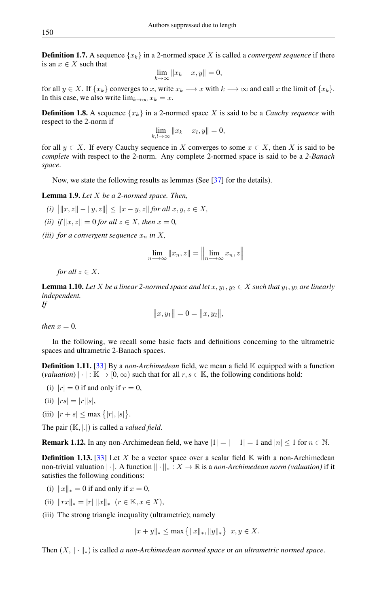**Definition 1.7.** A sequence  $\{x_k\}$  in a 2-normed space X is called a *convergent sequence* if there is an  $x \in X$  such that

$$
\lim_{k \to \infty} ||x_k - x, y|| = 0,
$$

for all  $y \in X$ . If  $\{x_k\}$  converges to x, write  $x_k \longrightarrow x$  with  $k \longrightarrow \infty$  and call x the limit of  $\{x_k\}$ . In this case, we also write  $\lim_{k\to\infty} x_k = x$ .

**Definition 1.8.** A sequence  $\{x_k\}$  in a 2-normed space X is said to be a *Cauchy sequence* with respect to the 2-norm if

$$
\lim_{k,l\to\infty}||x_k - x_l, y|| = 0,
$$

for all  $y \in X$ . If every Cauchy sequence in X converges to some  $x \in X$ , then X is said to be *complete* with respect to the 2-norm. Any complete 2-normed space is said to be a *2-Banach space*.

Now, we state the following results as lemmas (See [\[37\]](#page-12-25) for the details).

Lemma 1.9. *Let* X *be a 2-normed space. Then,*

- $(i)$   $||x, z|| ||y, z|| \le ||x y, z||$  for all  $x, y, z \in X$ *,*
- *(ii) if*  $||x, z|| = 0$  *for all*  $z \in X$ *, then*  $x = 0$ *,*
- *(iii) for a convergent sequence*  $x_n$  *in*  $X$ *,*

$$
\lim_{n \to \infty} ||x_n, z|| = \left\| \lim_{n \to \infty} x_n, z \right\|
$$

*for all*  $z \in X$ *.* 

**Lemma 1.10.** *Let* X *be a linear 2-normed space and let*  $x, y_1, y_2 \in X$  *such that*  $y_1, y_2$  *are linearly independent. If*

$$
||x, y_1|| = 0 = ||x, y_2||,
$$

*then*  $x = 0$ *.* 

In the following, we recall some basic facts and definitions concerning to the ultrametric spaces and ultrametric 2-Banach spaces.

**Definition 1.11.** [\[33\]](#page-12-20) By a *non-Archimedean* field, we mean a field K equipped with a function  $\text{(valuation)} | \cdot | : \mathbb{K} \to [0, \infty) \text{ such that for all } r, s \in \mathbb{K}$ , the following conditions hold:

- (i)  $|r| = 0$  if and only if  $r = 0$ ,
- (ii)  $|rs| = |r||s|$ ,
- (iii)  $|r + s| \le \max{\{|r|, |s|\}}.$

The pair (K, |.|) is called a *valued field*.

**Remark 1.12.** In any non-Archimedean field, we have  $|1| = |-1| = 1$  and  $|n| \le 1$  for  $n \in \mathbb{N}$ .

**Definition 1.13.** [\[33\]](#page-12-20) Let X be a vector space over a scalar field  $\mathbb{K}$  with a non-Archimedean non-trivial valuation  $||\cdot||$ . A function  $||\cdot||_*: X \to \mathbb{R}$  is a *non-Archimedean norm (valuation)* if it satisfies the following conditions:

- (i)  $||x||_* = 0$  if and only if  $x = 0$ ,
- (ii)  $||rx||_* = |r| ||x||_*$   $(r \in \mathbb{K}, x \in X),$
- (iii) The strong triangle inequality (ultrametric); namely

$$
||x + y||_* \le \max\{|x||_*, ||y||_*\} \ x, y \in X.
$$

Then  $(X, \|\cdot\|_*)$  is called *a non-Archimedean normed space* or *an ultrametric normed space*.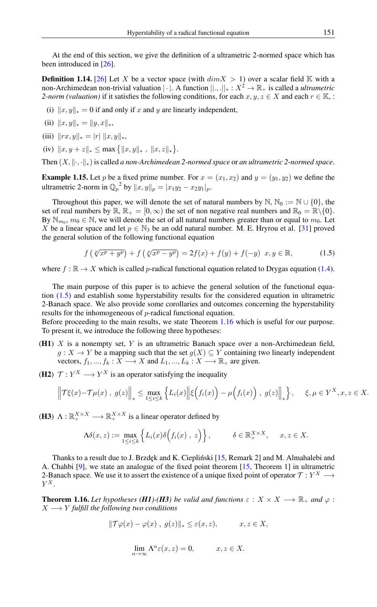At the end of this section, we give the definition of a ultrametric 2-normed space which has been introduced in [\[26\]](#page-12-24).

**Definition 1.14.** [\[26\]](#page-12-24) Let X be a vector space (with  $dim X > 1$ ) over a scalar field K with a non-Archimedean non-trivial valuation | · |. A function ||., .||<sup>∗</sup> : X<sup>2</sup> → R<sup>+</sup> is called a *ultrametric 2-norm (valuation)* if it satisfies the following conditions, for each  $x, y, z \in X$  and each  $r \in \mathbb{K}$ , :

(i)  $||x, y||_* = 0$  if and only if x and y are linearly independent,

(ii) 
$$
||x, y||_* = ||y, x||_*
$$
,

(iii) 
$$
||rx, y||_* = |r| ||x, y||_*
$$
,

(iv)  $||x, y + z||_* \le \max{\{\|x, y\|_* , \|x, z\|_* \}}.$ 

Then  $(X, \|\cdot\|_*)$  is called *a non-Archimedean 2-normed space* or *an ultrametric 2-normed space*.

**Example 1.15.** Let p be a fixed prime number. For  $x = (x_1, x_2)$  and  $y = (y_1, y_2)$  we define the ultrametric 2-norm in  $\mathbb{Q}_p^2$  by  $||x, y||_p = |x_1y_2 - x_2y_1|_p$ .

Throughout this paper, we will denote the set of natural numbers by  $\mathbb{N}, \mathbb{N}_0 := \mathbb{N} \cup \{0\}$ , the set of real numbers by  $\mathbb{R}, \mathbb{R}_+ = [0, \infty)$  the set of non negative real numbers and  $\mathbb{R}_0 = \mathbb{R} \setminus \{0\}$ . By  $\mathbb{N}_{m_0}$ ,  $m_0 \in \mathbb{N}$ , we will denote the set of all natural numbers greater than or equal to  $m_0$ . Let X be a linear space and let  $p \in \mathbb{N}_3$  be an odd natural number. M. E. Hryrou et al. [\[31\]](#page-12-26) proved the general solution of the following functional equation

<span id="page-4-0"></span>
$$
f(\sqrt[p]{x^p + y^p}) + f(\sqrt[p]{x^p - y^p}) = 2f(x) + f(y) + f(-y) \quad x, y \in \mathbb{R},
$$
 (1.5)

where  $f : \mathbb{R} \to X$  which is called p-radical functional equation related to Drygas equation [\(1.4\)](#page-2-0).

The main purpose of this paper is to achieve the general solution of the functional equation [\(1.5\)](#page-4-0) and establish some hyperstability results for the considered equation in ultrametric 2-Banach space. We also provide some corollaries and outcomes concerning the hyperstability results for the inhomogeneous of p-radical functional equation.

Before proceeding to the main results, we state Theorem [1.16](#page-4-1) which is useful for our purpose. To present it, we introduce the following three hypotheses:

( $H1$ ) X is a nonempty set, Y is an ultrametric Banach space over a non-Archimedean field,  $g: X \to Y$  be a mapping such that the set  $g(X) \subseteq Y$  containing two linearly independent vectors,  $f_1, ..., f_k : X \longrightarrow X$  and  $L_1, ..., L_k : X \longrightarrow \mathbb{R}_+$  are given.

(H2)  $\mathcal{T}: Y^X \longrightarrow Y^X$  is an operator satisfying the inequality

$$
\left\|\mathcal{T}\xi(x)-\mathcal{T}\mu(x),\ g(z)\right\|_* \leq \max_{1\leq i\leq k} \left\{L_i(x)\left\|\xi\Big(f_i(x)\Big)-\mu\Big(f_i(x)\Big),\ g(z)\right\|_*\right\}, \quad \xi,\mu\in Y^X, x,z\in X.
$$

(H3)  $\Lambda : \mathbb{R}_+^{X \times X} \longrightarrow \mathbb{R}_+^{X \times X}$  is a linear operator defined by

$$
\Lambda \delta(x, z) := \max_{1 \le i \le k} \left\{ L_i(x) \delta \Big( f_i(x) , z \Big) \right\}, \qquad \delta \in \mathbb{R}_+^{X \times X}, \quad x, z \in X.
$$

Thanks to a result due to J. Brzdęk and K. Ciepliński [[15,](#page-11-12) Remark 2] and M. Almahalebi and A. Chahbi [\[9\]](#page-11-13), we state an analogue of the fixed point theorem [\[15,](#page-11-12) Theorem 1] in ultrametric 2-Banach space. We use it to assert the existence of a unique fixed point of operator  $\mathcal{T}: Y^X \longrightarrow$  $Y^X$ .

<span id="page-4-1"></span>**Theorem 1.16.** Let hypotheses (*H1*)-(*H3*) be valid and functions  $\varepsilon : X \times X \longrightarrow \mathbb{R}_+$  and  $\varphi$ :  $X \longrightarrow Y$  *fulfill the following two conditions* 

$$
\|\mathcal{T}\varphi(x) - \varphi(x), g(z)\|_* \leq \varepsilon(x, z), \qquad x, z \in X,
$$

$$
\lim_{n \to \infty} \Lambda^n \varepsilon(x, z) = 0, \qquad x, z \in X.
$$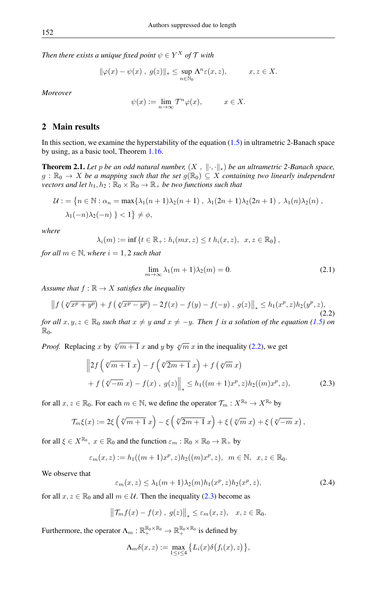*Then there exists a unique fixed point*  $\psi \in Y^X$  *of*  $\mathcal T$  *with* 

$$
\|\varphi(x) - \psi(x)\, ,\, g(z)\|_{*} \leq \sup_{n \in \mathbb{N}_{0}} \Lambda^{n} \varepsilon(x, z), \qquad x, z \in X.
$$

*Moreover*

$$
\psi(x) := \lim_{n \to \infty} \mathcal{T}^n \varphi(x), \qquad x \in X.
$$

### 2 Main results

In this section, we examine the hyperstability of the equation  $(1.5)$  in ultrametric 2-Banach space by using, as a basic tool, Theorem [1.16.](#page-4-1)

<span id="page-5-4"></span>**Theorem 2.1.** *Let* p *be an odd natural number,*  $(X, \|\cdot\|_*)$  *be an ultrametric 2-Banach space,*  $g : \mathbb{R}_0 \to X$  be a mapping such that the set  $g(\mathbb{R}_0) \subseteq X$  containing two linearly independent *vectors and let*  $h_1, h_2 : \mathbb{R}_0 \times \mathbb{R}_0 \to \mathbb{R}_+$  *be two functions such that* 

$$
\mathcal{U} := \left\{ n \in \mathbb{N} : \alpha_n = \max\{\lambda_1(n+1)\lambda_2(n+1), \lambda_1(2n+1)\lambda_2(2n+1), \lambda_1(n)\lambda_2(n), \lambda_1(-n)\lambda_2(-n)\} \leq 1 \right\}
$$

*where*

$$
\lambda_i(m) := \inf \{ t \in \mathbb{R}_+ \colon h_i(mx, z) \le t \ h_i(x, z), \ x, z \in \mathbb{R}_0 \},
$$

*for all*  $m \in \mathbb{N}$ *, where*  $i = 1, 2$  *such that* 

<span id="page-5-3"></span><span id="page-5-1"></span><span id="page-5-0"></span>
$$
\lim_{m \to \infty} \lambda_1(m+1)\lambda_2(m) = 0. \tag{2.1}
$$

*Assume that*  $f : \mathbb{R} \to X$  *satisfies the inequality* 

$$
\|f(\sqrt[p]{x^p + y^p}) + f(\sqrt[p]{x^p - y^p}) - 2f(x) - f(y) - f(-y), g(z)\|_{*} \le h_1(x^p, z)h_2(y^p, z),
$$
\n(2.2)

*for all*  $x, y, z \in \mathbb{R}_0$  *such that*  $x \neq y$  *and*  $x \neq -y$ *. Then f is a solution of the equation* [\(1.5\)](#page-4-0) *on* R0*.*

*Proof.* Replacing x by  $\sqrt[p]{m+1}$  x and y by  $\sqrt[p]{m}$  x in the inequality [\(2.2\)](#page-5-0), we get

$$
\|2f(\sqrt[p]{m+1}x) - f(\sqrt[p]{2m+1}x) + f(\sqrt[p]{m}x) + f(\sqrt[p]{m}x) + f(\sqrt[p]{-m}x) - f(x), g(z)\|_* \leq h_1((m+1)x^p, z)h_2((m)x^p, z),
$$
 (2.3)

for all  $x, z \in \mathbb{R}_0$ . For each  $m \in \mathbb{N}$ , we define the operator  $\mathcal{T}_m : X^{\mathbb{R}_0} \to X^{\mathbb{R}_0}$  by

$$
\mathcal{T}_{m}\xi(x) := 2\xi\left(\sqrt[p]{m+1} x\right) - \xi\left(\sqrt[p]{2m+1} x\right) + \xi\left(\sqrt[p]{m} x\right) + \xi\left(\sqrt[p]{-m} x\right),
$$

for all  $\xi \in X^{\mathbb{R}_0}$ ,  $x \in \mathbb{R}_0$  and the function  $\varepsilon_m : \mathbb{R}_0 \times \mathbb{R}_0 \to \mathbb{R}_+$  by

<span id="page-5-2"></span>
$$
\varepsilon_m(x,z) := h_1((m+1)x^p, z)h_2((m)x^p, z), \ \ m \in \mathbb{N}, \ \ x, z \in \mathbb{R}_0.
$$

We observe that

$$
\varepsilon_m(x,z) \le \lambda_1(m+1)\lambda_2(m)h_1(x^p,z)h_2(x^p,z),\tag{2.4}
$$

for all  $x, z \in \mathbb{R}_0$  and all  $m \in \mathcal{U}$ . Then the inequality [\(2.3\)](#page-5-1) become as

$$
\left\|\mathcal{T}_m f(x) - f(x), g(z)\right\|_* \leq \varepsilon_m(x, z), \quad x, z \in \mathbb{R}_0.
$$

Furthermore, the operator  $\Lambda_m : \mathbb{R}_+^{\mathbb{R}_0 \times \mathbb{R}_0} \to \mathbb{R}_+^{\mathbb{R}_0 \times \mathbb{R}_0}$  is defined by

$$
\Lambda_m \delta(x, z) := \max_{1 \leq i \leq 4} \left\{ L_i(x) \delta(f_i(x), z) \right\},\,
$$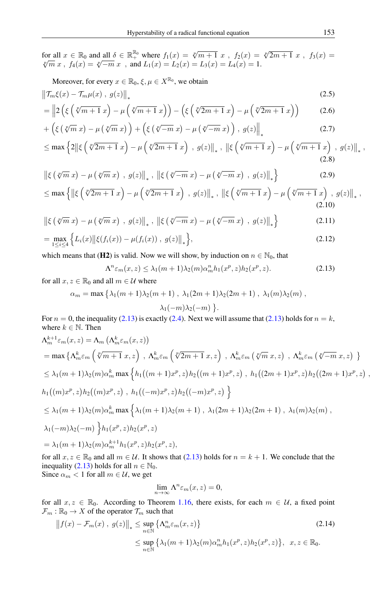for all  $x \in \mathbb{R}_0$  and all  $\delta \in \mathbb{R}_+^{\mathbb{R}_0}$  where  $f_1(x) = \sqrt[p]{m+1} x$ ,  $f_2(x) = \sqrt[p]{2m+1} x$ ,  $f_3(x) = \sqrt[p]{m} x$ ,  $f_4(x) = \sqrt[p]{-m} x$ , and  $L_1(x) = L_2(x) = L_3(x) = L_4(x) = 1$ .

Moreover, for every 
$$
x \in \mathbb{R}_0
$$
,  $\xi, \mu \in X^{\mathbb{R}_0}$ , we obtain  

$$
\left\| \mathcal{T}_m \xi(x) - \mathcal{T}_m \mu(x), g(z) \right\|_*
$$
 (2.5)

$$
= \left\| 2\left( \xi \left( \sqrt[p]{m+1} \, x \right) - \mu \left( \sqrt[p]{m+1} \, x \right) \right) - \left( \xi \left( \sqrt[p]{2m+1} \, x \right) - \mu \left( \sqrt[p]{2m+1} \, x \right) \right) \right\| \tag{2.6}
$$

$$
+\left(\xi\left(\sqrt[p]{m}x\right)-\mu\left(\sqrt[p]{m}x\right)\right)+\left(\xi\left(\sqrt[p]{-m}x\right)-\mu\left(\sqrt[p]{-m}x\right)\right),\ g(z)\Big\|_{*}\tag{2.7}
$$

$$
\leq \max\left\{2\|\xi\left(\sqrt[p]{2m+1}x\right)-\mu\left(\sqrt[p]{2m+1}x\right),\ g(z)\|_{*},\ \|\xi\left(\sqrt[p]{m+1}x\right)-\mu\left(\sqrt[p]{m+1}x\right),\ g(z)\|_{*},\right\}
$$
\n(2.8)

$$
\left\| \xi \left( \sqrt[p]{m} \, x \right) - \mu \left( \sqrt[p]{m} \, x \right) , g(z) \right\|_{*}, \, \left\| \xi \left( \sqrt[p]{-m} \, x \right) - \mu \left( \sqrt[p]{-m} \, x \right) , g(z) \right\|_{*} \right\} \tag{2.9}
$$

$$
\leq \max\left\{\left\|\xi\left(\sqrt[p]{2m+1}x\right)-\mu\left(\sqrt[p]{2m+1}x\right), g(z)\right\|_{*}, \left\|\xi\left(\sqrt[p]{m+1}x\right)-\mu\left(\sqrt[p]{m+1}x\right), g(z)\right\|_{*},\right\}
$$
\n(2.10)

$$
\left\| \xi \left( \sqrt[p]{m} \, x \right) - \mu \left( \sqrt[p]{m} \, x \right) , g(z) \right\|_{*}, \, \left\| \xi \left( \sqrt[p]{-m} \, x \right) - \mu \left( \sqrt[p]{-m} \, x \right) , g(z) \right\|_{*} \right\} \tag{2.11}
$$

$$
= \max_{1 \leq i \leq 4} \left\{ L_i(x) \|\xi(f_i(x)) - \mu(f_i(x)) \; , \; g(z) \|\; , \right\},\tag{2.12}
$$

which means that (H2) is valid. Now we will show, by induction on  $n \in \mathbb{N}_0$ , that

<span id="page-6-0"></span>
$$
\Lambda^n \varepsilon_m(x, z) \le \lambda_1(m+1)\lambda_2(m)\alpha_m^n h_1(x^p, z) h_2(x^p, z). \tag{2.13}
$$

for all  $x, z \in \mathbb{R}_0$  and all  $m \in \mathcal{U}$  where

$$
\alpha_m = \max \left\{ \lambda_1(m+1)\lambda_2(m+1), \lambda_1(2m+1)\lambda_2(2m+1), \lambda_1(m)\lambda_2(m) \right\},\,
$$

$$
\lambda_1(-m)\lambda_2(-m) \left.\right\}.
$$

For  $n = 0$ , the inequality [\(2.13\)](#page-6-0) is exactly [\(2.4\)](#page-5-2). Next we will assume that (2.13) holds for  $n = k$ , where  $k \in \mathbb{N}$ . Then

$$
\begin{split}\n\Lambda_m^{k+1} \varepsilon_m(x,z) &= \Lambda_m \left( \Lambda_m^k \varepsilon_m(x,z) \right) \\
&= \max \left\{ \Lambda_m^k \varepsilon_m \left( \sqrt[p]{m+1} \, x,z \right) \, , \, \Lambda_m^k \varepsilon_m \left( \sqrt[p]{2m+1} \, x,z \right) \, , \, \Lambda_m^k \varepsilon_m \left( \sqrt[p]{m} \, x,z \right) \, , \, \Lambda_m^k \varepsilon_m \left( \sqrt[p]{-m} \, x,z \right) \, \right\} \\
&\leq \lambda_1(m+1)\lambda_2(m)\alpha_m^k \max \left\{ h_1\big((m+1)x^p,z) h_2\big((m+1)x^p,z\big) \, , \, h_1\big((2m+1)x^p,z\big) h_2\big((2m+1)x^p,z\big) \, , \, h_1\big((m)x^p,z\big) h_2\big((m)x^p,z\big) \, , \, h_1\big((-m)x^p,z\big) h_2\big((-m)x^p,z\big) \right\} \\
&\leq \lambda_1(m+1)\lambda_2(m)\alpha_m^k \max \left\{ \lambda_1(m+1)\lambda_2(m+1) \, , \, \lambda_1(2m+1)\lambda_2(2m+1) \, , \, \lambda_1(m)\lambda_2(m) \, , \, \lambda_1(-m)\lambda_2(-m) \, \right\} h_1(x^p,z) h_2(x^p,z) \\
&= \lambda_1(m+1)\lambda_2(m)\alpha_m^{k+1} h_1(x^p,z) h_2(x^p,z),\n\end{split}
$$

for all  $x, z \in \mathbb{R}_0$  and all  $m \in \mathcal{U}$ . It shows that [\(2.13\)](#page-6-0) holds for  $n = k + 1$ . We conclude that the inequality [\(2.13\)](#page-6-0) holds for all  $n \in \mathbb{N}_0$ . Since  $\alpha_m < 1$  for all  $m \in \mathcal{U}$ , we get

$$
\lim_{n \to \infty} \Lambda^n \varepsilon_m(x, z) = 0,
$$

for all  $x, z \in \mathbb{R}_0$ . According to Theorem [1.16,](#page-4-1) there exists, for each  $m \in \mathcal{U}$ , a fixed point  $\mathcal{F}_m : \mathbb{R}_0 \to X$  of the operator  $\mathcal{T}_m$  such that

$$
||f(x) - \mathcal{F}_m(x), g(z)||_* \le \sup_{n \in \mathbb{N}} \left\{ \Lambda_m^n \varepsilon_m(x, z) \right\}
$$
\n
$$
\le \sup_{n \in \mathbb{N}} \left\{ \lambda_1(m+1)\lambda_2(m)\alpha_m^n h_1(x^p, z) h_2(x^p, z) \right\}, x, z \in \mathbb{R}_0.
$$
\n(2.14)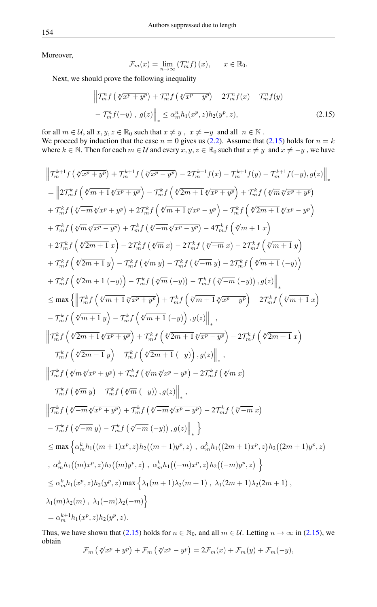Moreover,

<span id="page-7-0"></span>
$$
\mathcal{F}_m(x) = \lim_{n \to \infty} \left( \mathcal{T}_m^n f \right)(x), \qquad x \in \mathbb{R}_0.
$$

Next, we should prove the following inequality

$$
\left\| \mathcal{T}_{m}^{n} f\left(\sqrt[p]{x^{p} + y^{p}}\right) + \mathcal{T}_{m}^{n} f\left(\sqrt[p]{x^{p} - y^{p}}\right) - 2 \mathcal{T}_{m}^{n} f(x) - \mathcal{T}_{m}^{n} f(y) - \mathcal{T}_{m}^{n} f(-y), \ g(z) \right\|_{*} \leq \alpha_{m}^{n} h_{1}(x^{p}, z) h_{2}(y^{p}, z), \tag{2.15}
$$

for all  $m \in \mathcal{U}$ , all  $x, y, z \in \mathbb{R}_0$  such that  $x \neq y$ ,  $x \neq -y$  and all  $n \in \mathbb{N}$ .

We proceed by induction that the case  $n = 0$  gives us [\(2.2\)](#page-5-0). Assume that [\(2.15\)](#page-7-0) holds for  $n = k$ where  $k \in \mathbb{N}$ . Then for each  $m \in \mathcal{U}$  and every  $x, y, z \in \mathbb{R}_0$  such that  $x \neq y$  and  $x \neq -y$ , we have

$$
\begin{split} &\left\|\mathcal{T}_{m}^{k+1}f\left(\sqrt[p]{x^{p}+y^{p}}\right)+\mathcal{T}_{m}^{k+1}f\left(\sqrt[p]{x^{p}-y^{p}}\right)-2\mathcal{T}_{m}^{k+1}f(x)-\mathcal{T}_{m}^{k+1}f(y)-\mathcal{T}_{m}^{k+1}f(-y),g(z)\right)\right\|_{*}\\ &=\left\|\left[2\mathcal{T}_{m}^{k}f\left(\sqrt[p]{m+1}\sqrt[p]{x^{p}+y^{p}}\right)-\mathcal{T}_{m}^{k}f\left(\sqrt[p]{2m+1}\sqrt[p]{x^{p}+y^{p}}\right)+\mathcal{T}_{m}^{k}f\left(\sqrt[p]{m}\sqrt[p]{x^{p}+y^{p}}\right)\right.\\ &+\left.\mathcal{T}_{m}^{k}f\left(\sqrt[p]{m}\sqrt[p]{x^{p}+y^{p}}\right)+2\mathcal{T}_{m}^{k}f\left(\sqrt[p]{m+1}\sqrt[p]{x^{p}-y^{p}}\right)-4\mathcal{T}_{m}^{k}f\left(\sqrt[p]{2m+1}\sqrt[p]{x^{p}-y^{p}}\right)\\ &+\left.\mathcal{T}_{m}^{k}f\left(\sqrt[p]{2m+1}x\right)-2\mathcal{T}_{m}^{k}f\left(\sqrt[p]{m}x\right)-2\mathcal{T}_{m}^{k}f\left(\sqrt[p]{m+1}x\right)\right.\\ &+\left.2\mathcal{T}_{m}^{k}f\left(\sqrt[p]{2m+1}x\right)-2\mathcal{T}_{m}^{k}f\left(\sqrt[p]{m}x\right)-2\mathcal{T}_{m}^{k}f\left(\sqrt[p]{m+1}x\right)-2\mathcal{T}_{m}^{k}f\left(\sqrt[p]{m+1}x\right)\right)\\ &+\left.\mathcal{T}_{m}^{k}f\left(\sqrt[p]{2m+1}x\right)-\mathcal{T}_{m}^{k}f\left(\sqrt[p]{m}x\right)-2\mathcal{T}_{m}^{k}f\left(\sqrt[p]{m+1}x\right)-2\mathcal{T}_{m}^{k}f\left(\sqrt[p]{m+1}x\right)\right)\\ &+\left.\mathcal{T}_{m}^{k}f\left(\sqrt[p]{2m+1}x\right)-\left.\mathcal{T}_{m}^{k}f\left(\sqrt[p]{m}x\right)-\mathcal{T}_{m}^{k}f\left(\sqrt[p]{m+1}x\right)-2\mathcal{T}_{m}^{k}f\left(\sqrt[p]{m+1}x\right
$$

Thus, we have shown that [\(2.15\)](#page-7-0) holds for  $n \in \mathbb{N}_0$ , and all  $m \in \mathcal{U}$ . Letting  $n \to \infty$  in (2.15), we obtain  $\mathcal{F}_m\left(\sqrt[p]{x^p+y^p}\right)+\mathcal{F}_m\left(\sqrt[p]{x^p-y^p}\right)=2\mathcal{F}_m(x)+\mathcal{F}_m(y)+\mathcal{F}_m(-y),$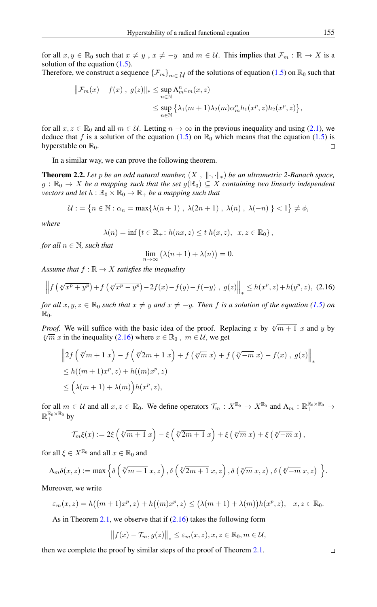for all  $x, y \in \mathbb{R}_0$  such that  $x \neq y$ ,  $x \neq -y$  and  $m \in \mathcal{U}$ . This implies that  $\mathcal{F}_m : \mathbb{R} \to X$  is a solution of the equation  $(1.5)$ .

Therefore, we construct a sequence  ${\{\mathcal{F}_m\}}_{m\in\mathcal{U}}$  of the solutions of equation [\(1.5\)](#page-4-0) on  $\mathbb{R}_0$  such that

$$
\|\mathcal{F}_m(x) - f(x), g(z)\|_{*} \leq \sup_{n \in \mathbb{N}} \Lambda_m^n \varepsilon_m(x, z)
$$
  

$$
\leq \sup_{n \in \mathbb{N}} \left\{ \lambda_1(m+1)\lambda_2(m)\alpha_m^n h_1(x^p, z) h_2(x^p, z) \right\},
$$

for all  $x, z \in \mathbb{R}_0$  and all  $m \in \mathcal{U}$ . Letting  $n \to \infty$  in the previous inequality and using [\(2.1\)](#page-5-3), we deduce that f is a solution of the equation [\(1.5\)](#page-4-0) on  $\mathbb{R}_0$  which means that the equation (1.5) is hyperstable on  $\mathbb{R}_0$ .  $\Box$ 

In a similar way, we can prove the following theorem.

**Theorem 2.2.** Let p be an odd natural number,  $(X, \|\cdot, \cdot\|_*)$  be an ultrametric 2-Banach space,  $g : \mathbb{R}_0 \to X$  be a mapping such that the set  $g(\mathbb{R}_0) \subseteq X$  containing two linearly independent *vectors and let*  $h : \mathbb{R}_0 \times \mathbb{R}_0 \to \mathbb{R}_+$  *be a mapping such that* 

$$
\mathcal{U} : = \left\{ n \in \mathbb{N} : \alpha_n = \max\{ \lambda(n+1) \ , \ \lambda(2n+1) \ , \ \lambda(n) \ , \ \lambda(-n) \ \right\} < 1 \right\} \neq \phi,
$$

*where*

$$
\lambda(n) = \inf \left\{ t \in \mathbb{R}_+ \colon h(nx, z) \le t \ h(x, z), \ x, z \in \mathbb{R}_0 \right\},\
$$

*for all*  $n \in \mathbb{N}$ *, such that* 

<span id="page-8-0"></span>
$$
\lim_{n \to \infty} (\lambda(n+1) + \lambda(n)) = 0.
$$

*Assume that*  $f : \mathbb{R} \to X$  *satisfies the inequality* 

$$
\left\| f\left(\sqrt[p]{x^p + y^p}\right) + f\left(\sqrt[p]{x^p - y^p}\right) - 2f(x) - f(y) - f(-y), g(z)\right\|_* \le h(x^p, z) + h(y^p, z), (2.16)
$$

*for all*  $x, y, z \in \mathbb{R}_0$  *such that*  $x \neq y$  *and*  $x \neq -y$ *. Then f is a solution of the equation [\(1.5\)](#page-4-0) on*  $\mathbb{R}_0$ .

*Proof.* We will suffice with the basic idea of the proof. Replacing x by  $\sqrt[p]{m+1}$  x and y by  $\sqrt[p]{m} x$  in the inequality [\(2.16\)](#page-8-0) where  $x \in \mathbb{R}_0$ ,  $m \in \mathcal{U}$ , we get

$$
\begin{aligned} &\left\|2f\left(\sqrt[p]{m+1}x\right)-f\left(\sqrt[p]{2m+1}x\right)+f\left(\sqrt[p]{m}x\right)+f\left(\sqrt[p]{-m}x\right)-f(x),\,g(z)\right\|_{*} \\ &\leq h((m+1)x^p,z)+h((m)x^p,z) \\ &\leq \left(\lambda(m+1)+\lambda(m)\right)h(x^p,z), \end{aligned}
$$

for all  $m \in \mathcal{U}$  and all  $x, z \in \mathbb{R}_0$ . We define operators  $\mathcal{T}_m : X^{\mathbb{R}_0} \to X^{\mathbb{R}_0}$  and  $\Lambda_m : \mathbb{R}_+^{\mathbb{R}_0 \times \mathbb{R}_0} \to$  $\mathbb{R}_+^{\mathbb{R}_0\times\mathbb{R}_0}$  by

$$
\mathcal{T}_{m}\xi(x) := 2\xi\left(\sqrt[p]{m+1}x\right) - \xi\left(\sqrt[p]{2m+1}x\right) + \xi\left(\sqrt[p]{m}x\right) + \xi\left(\sqrt[p]{-m}x\right),
$$

for all  $\xi \in X^{\mathbb{R}_0}$  and all  $x \in \mathbb{R}_0$  and

$$
\Lambda_m \delta(x, z) := \max \Big\{ \delta \left( \sqrt[p]{m+1} \ x, z \right), \delta \left( \sqrt[p]{2m+1} \ x, z \right), \delta \left( \sqrt[p]{m} \ x, z \right), \delta \left( \sqrt[p]{-m} \ x, z \right) \Big\}.
$$

Moreover, we write

$$
\varepsilon_m(x,z) = h\big((m+1)x^p,z\big) + h\big((m)x^p,z\big) \le \big(\lambda(m+1) + \lambda(m)\big)h(x^p,z), \quad x,z \in \mathbb{R}_0.
$$

As in Theorem [2.1,](#page-5-4) we observe that if  $(2.16)$  takes the following form

$$
|| f(x) - \mathcal{T}_m, g(z)||_* \leq \varepsilon_m(x, z), x, z \in \mathbb{R}_0, m \in \mathcal{U},
$$

then we complete the proof by similar steps of the proof of Theorem [2.1.](#page-5-4)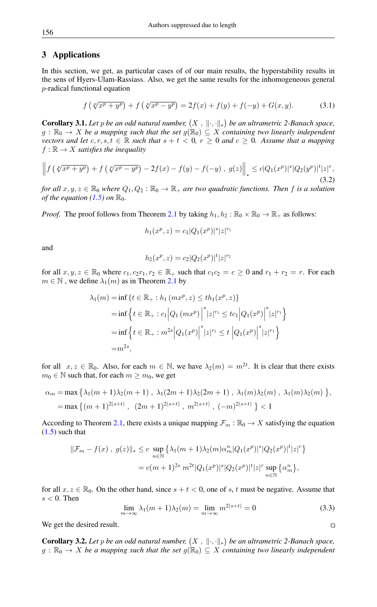## 3 Applications

In this section, we get, as particular cases of of our main results, the hyperstability results in the sens of Hyers-Ulam-Rassiass. Also, we get the same results for the inhomogeneous general p-radical functional equation

$$
f(\sqrt[p]{x^p + y^p}) + f(\sqrt[p]{x^p - y^p}) = 2f(x) + f(y) + f(-y) + G(x, y).
$$
 (3.1)

<span id="page-9-0"></span>**Corollary 3.1.** Let p be an odd natural number,  $(X, \|\cdot, \cdot\|_*)$  be an ultrametric 2-Banach space,  $g : \mathbb{R}_0 \to X$  *be a mapping such that the set*  $g(\mathbb{R}_0) \subseteq X$  *containing two linearly independent vectors and let*  $c, r, s, t \in \mathbb{R}$  *such that*  $s + t < 0$ ,  $r \ge 0$  *and*  $c \ge 0$ *. Assume that a mapping*  $f : \mathbb{R} \to X$  *satisfies the inequality* 

$$
\left\| f\left(\sqrt[p]{x^p + y^p}\right) + f\left(\sqrt[p]{x^p - y^p}\right) - 2f(x) - f(y) - f(-y), \ g(z)\right\|_* \le c|Q_1(x^p)|^s|Q_2(y^p)|^t|z|^r,
$$
\n(3.2)

*for all*  $x, y, z \in \mathbb{R}_0$  *where*  $Q_1, Q_2 : \mathbb{R}_0 \to \mathbb{R}_+$  *are two quadratic functions. Then f is a solution of the equation [\(1.5\)](#page-4-0) on*  $\mathbb{R}_0$ *.* 

*Proof.* The proof follows from Theorem [2.1](#page-5-4) by taking  $h_1, h_2 : \mathbb{R}_0 \times \mathbb{R}_0 \to \mathbb{R}_+$  as follows:

$$
h_1(x^p, z) = c_1 |Q_1(x^p)|^s |z|^{r_1}
$$

and

$$
h_2(x^p, z) = c_2 |Q_2(x^p)|^t |z|^{r_2}
$$

for all  $x, y, z \in \mathbb{R}_0$  where  $c_1, c_2r_1, r_2 \in \mathbb{R}_+$  such that  $c_1c_2 = c \geq 0$  and  $r_1 + r_2 = r$ . For each  $m \in \mathbb{N}$ , we define  $\lambda_1(m)$  as in Theorem [2.1](#page-5-4) by

$$
\lambda_1(m) = \inf \{ t \in \mathbb{R}_+ : h_1(mx^p, z) \le th_1(x^p, z) \}
$$
  
=  $\inf \{ t \in \mathbb{R}_+ : c_1 |Q_1(mx^p)|^s |z|^{r_1} \le tc_1 |Q_1(x^p)|^s |z|^{r_1} \}$   
=  $\inf \{ t \in \mathbb{R}_+ : m^{2s} |Q_1(x^p)|^s |z|^{r_1} \le t |Q_1(x^p)|^s |z|^{r_1} \}$   
=  $m^{2s}$ ,

for all  $x, z \in \mathbb{R}_0$ . Also, for each  $m \in \mathbb{N}$ , we have  $\lambda_2(m) = m^{2t}$ . It is clear that there exists  $m_0 \in \mathbb{N}$  such that, for each  $m \geq m_0$ , we get

$$
\alpha_m = \max \left\{ \lambda_1(m+1)\lambda_2(m+1) , \lambda_1(2m+1)\lambda_2(2m+1) , \lambda_1(m)\lambda_2(m) , \lambda_1(m)\lambda_2(m) \right\},
$$
  
= max  $\left\{ (m+1)^{2(s+t)} , (2m+1)^{2(s+t)} , m^{2(s+t)} , (-m)^{2(s+t)} \right\} < 1$ 

According to Theorem [2.1,](#page-5-4) there exists a unique mapping  $\mathcal{F}_m : \mathbb{R}_0 \to X$  satisfying the equation  $(1.5)$  such that

$$
\begin{aligned} ||\mathcal{F}_m - f(x) \ , \ g(z)||_* &\leq c \ \sup_{n \in \mathbb{N}} \left\{ \lambda_1 (m+1) \lambda_2(m) \alpha_m^n |Q_1(x^p)|^s |Q_2(x^p)|^t |z|^r \right\} \\ &= c(m+1)^{2s} \ m^{2t} |Q_1(x^p)|^s |Q_2(x^p)|^t |z|^r \sup_{n \in \mathbb{N}} \left\{ \alpha_m^n \right\}, \end{aligned}
$$

for all  $x, z \in \mathbb{R}_0$ . On the other hand, since  $s + t < 0$ , one of s, t must be negative. Assume that  $s < 0$ . Then

$$
\lim_{m \to \infty} \lambda_1(m+1)\lambda_2(m) = \lim_{m \to \infty} m^{2(s+t)} = 0
$$
\n(3.3)

We get the desired result.

**Corollary 3.2.** Let p be an odd natural number,  $(X, \|\cdot, \cdot\|_*)$  be an ultrametric 2-Banach space,  $g : \mathbb{R}_0 \to X$  *be a mapping such that the set*  $g(\mathbb{R}_0) \subseteq X$  *containing two linearly independent* 

 $\Box$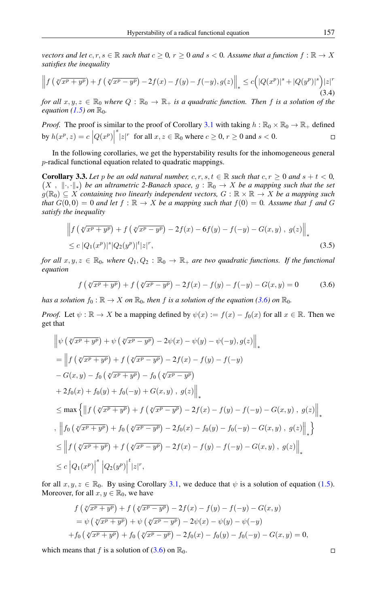*vectors and let*  $c, r, s \in \mathbb{R}$  *such that*  $c \geq 0$ ,  $r \geq 0$  *and*  $s < 0$ *. Assume that a function*  $f : \mathbb{R} \to X$ *satisfies the inequality*

$$
\left\|f\left(\sqrt[p]{x^p+y^p}\right)+f\left(\sqrt[p]{x^p-y^p}\right)-2f(x)-f(y)-f(-y),g(z)\right\|_* \leq c\Big(|Q(x^p)|^s+|Q(y^p)|^s\Big)|z|^r\tag{3.4}
$$

*for all*  $x, y, z \in \mathbb{R}_0$  *where*  $Q : \mathbb{R}_0 \to \mathbb{R}_+$  *is a quadratic function. Then f is a solution of the equation* [\(1.5\)](#page-4-0) *on*  $\mathbb{R}_0$ *.* 

*Proof.* The proof is similar to the proof of Corollary [3.1](#page-9-0) with taking  $h : \mathbb{R}_0 \times \mathbb{R}_0 \to \mathbb{R}_+$  defined  $s' |z|^r$  for all  $x, z \in \mathbb{R}_0$  where  $c \ge 0, r \ge 0$  and  $s < 0$ . by  $h(x^p, z) = c \left| Q(x^p) \right|$  $\Box$ 

In the following corollaries, we get the hyperstability results for the inhomogeneous general p-radical functional equation related to quadratic mappings.

<span id="page-10-1"></span>**Corollary 3.3.** Let p be an odd natural number,  $c, r, s, t \in \mathbb{R}$  such that  $c, r \ge 0$  and  $s + t < 0$ ,  $(X, \|\cdot,\cdot\|_*)$  be an ultrametric 2-Banach space,  $g : \mathbb{R}_0 \to X$  be a mapping such that the set  $g(\mathbb{R}_0) \subseteq X$  *containing two linearly independent vectors,*  $G : \mathbb{R} \times \mathbb{R} \to X$  *be a mapping such that*  $G(0,0) = 0$  *and let*  $f : \mathbb{R} \to X$  *be a mapping such that*  $f(0) = 0$ *. Assume that* f *and* G *satisfy the inequality*

$$
\left\| f \left( \sqrt[p]{x^p + y^p} \right) + f \left( \sqrt[p]{x^p - y^p} \right) - 2f(x) - 6f(y) - f(-y) - G(x, y) , g(z) \right\|_*
$$
  
 
$$
\leq c \left| Q_1(x^p) \right|^s \left| Q_2(y^p) \right|^t |z|^r,
$$
 (3.5)

*for all*  $x, y, z \in \mathbb{R}_0$ *, where*  $Q_1, Q_2 : \mathbb{R}_0 \to \mathbb{R}_+$  *are two quadratic functions. If the functional equation*

<span id="page-10-0"></span>
$$
f\left(\sqrt[p]{x^p + y^p}\right) + f\left(\sqrt[p]{x^p - y^p}\right) - 2f(x) - f(y) - f(-y) - G(x, y) = 0 \tag{3.6}
$$

*has a solution*  $f_0 : \mathbb{R} \to X$  *on*  $\mathbb{R}_0$ *, then f is a solution of the equation* [\(3.6\)](#page-10-0) *on*  $\mathbb{R}_0$ *.* 

*Proof.* Let  $\psi : \mathbb{R} \to X$  be a mapping defined by  $\psi(x) := f(x) - f_0(x)$  for all  $x \in \mathbb{R}$ . Then we get that

$$
\begin{split}\n&\left\|\psi\left(\sqrt[p]{x^{p}+y^{p}}\right)+\psi\left(\sqrt[p]{x^{p}-y^{p}}\right)-2\psi(x)-\psi(y)-\psi(-y),g(z)\right\|_{*} \\
&=\left\|f\left(\sqrt[p]{x^{p}+y^{p}}\right)+f\left(\sqrt[p]{x^{p}-y^{p}}\right)-2f(x)-f(y)-f(-y) \\
&-G(x,y)-f_{0}\left(\sqrt[p]{x^{p}+y^{p}}\right)-f_{0}\left(\sqrt[p]{x^{p}-y^{p}}\right) \\
&+2f_{0}(x)+f_{0}(y)+f_{0}(-y)+G(x,y),g(z)\right\|_{*} \\
&\leq \max\left\{\left\|f\left(\sqrt[p]{x^{p}+y^{p}}\right)+f\left(\sqrt[p]{x^{p}-y^{p}}\right)-2f(x)-f(y)-f(-y)-G(x,y),g(z)\right\|_{*}\right\} \\
&,\ \left\|f_{0}\left(\sqrt[p]{x^{p}+y^{p}}\right)+f_{0}\left(\sqrt[p]{x^{p}-y^{p}}\right)-2f_{0}(x)-f_{0}(y)-f_{0}(-y)-G(x,y),g(z)\right\|_{*}\right\} \\
&\leq \left\|f\left(\sqrt[p]{x^{p}+y^{p}}\right)+f\left(\sqrt[p]{x^{p}-y^{p}}\right)-2f(x)-f(y)-f(-y)-G(x,y),g(z)\right\|_{*} \\
&\leq c\left|Q_{1}(x^{p})\right|^{s}\left|Q_{2}(y^{p})\right|^{t}|z|^{r},\n\end{split}
$$

for all  $x, y, z \in \mathbb{R}_0$ . By using Corollary [3.1,](#page-9-0) we deduce that  $\psi$  is a solution of equation [\(1.5\)](#page-4-0). Moreover, for all  $x, y \in \mathbb{R}_0$ , we have

$$
f(\sqrt[p]{x^p + y^p}) + f(\sqrt[p]{x^p - y^p}) - 2f(x) - f(y) - f(-y) - G(x, y)
$$
  
=  $\psi(\sqrt[p]{x^p + y^p}) + \psi(\sqrt[p]{x^p - y^p}) - 2\psi(x) - \psi(y) - \psi(-y)$   
+  $f_0(\sqrt[p]{x^p + y^p}) + f_0(\sqrt[p]{x^p - y^p}) - 2f_0(x) - f_0(y) - f_0(-y) - G(x, y) = 0,$ 

which means that f is a solution of  $(3.6)$  on  $\mathbb{R}_0$ .

j,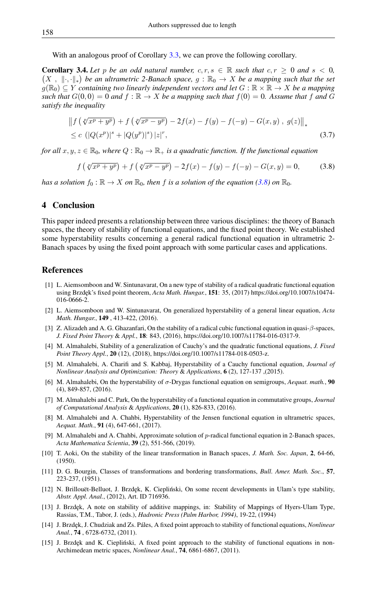With an analogous proof of Corollary [3.3,](#page-10-1) we can prove the following corollary.

**Corollary 3.4.** Let p be an odd natural number,  $c, r, s \in \mathbb{R}$  such that  $c, r > 0$  and  $s < 0$ ,  $(X, \|\cdot,\cdot\|_*)$  be an ultrametric 2-Banach space,  $g : \mathbb{R}_0 \to X$  be a mapping such that the set  $g(\mathbb{R}_0) \subseteq Y$  *containing two linearly independent vectors and let*  $G : \mathbb{R} \times \mathbb{R} \to X$  *be a mapping such that*  $G(0, 0) = 0$  *and*  $f : \mathbb{R} \to X$  *be a mapping such that*  $f(0) = 0$ *. Assume that* f *and* G *satisfy the inequality*

$$
\left\| f \left( \sqrt[p]{x^p + y^p} \right) + f \left( \sqrt[p]{x^p - y^p} \right) - 2f(x) - f(y) - f(-y) - G(x, y) , g(z) \right\|_*
$$
  
 
$$
\leq c \left( |Q(x^p)|^s + |Q(y^p)|^s \right) |z|^r,
$$
 (3.7)

*for all*  $x, y, z \in \mathbb{R}_0$ *, where*  $Q: \mathbb{R}_0 \to \mathbb{R}_+$  *is a quadratic function. If the functional equation* 

<span id="page-11-14"></span>
$$
f\left(\sqrt[p]{x^p + y^p}\right) + f\left(\sqrt[p]{x^p - y^p}\right) - 2f(x) - f(y) - f(-y) - G(x, y) = 0,\tag{3.8}
$$

*has a solution*  $f_0 : \mathbb{R} \to X$  *on*  $\mathbb{R}_0$ *, then f is a solution of the equation* [\(3.8\)](#page-11-14) *on*  $\mathbb{R}_0$ *.* 

## 4 Conclusion

This paper indeed presents a relationship between three various disciplines: the theory of Banach spaces, the theory of stability of functional equations, and the fixed point theory. We established some hyperstability results concerning a general radical functional equation in ultrametric 2- Banach spaces by using the fixed point approach with some particular cases and applications.

#### <span id="page-11-0"></span>References

- <span id="page-11-10"></span>[1] L. Aiemsomboon and W. Sintunavarat, On a new type of stability of a radical quadratic functional equation using Brzdęk's fixed point theorem, *Acta Math. Hungar.*, 151: 35, (2017) https://doi.org/10.1007/s10474-016-0666-2.
- <span id="page-11-7"></span>[2] L. Aiemsomboon and W. Sintunavarat, On generalized hyperstability of a general linear equation, *Acta Math. Hungar.*, 149 , 413-422, (2016).
- <span id="page-11-11"></span>[3] Z. Alizadeh and A. G. Ghazanfari, On the stability of a radical cubic functional equation in quasi-β-spaces, *J. Fixed Point Theory* & *Appl.*, 18: 843, (2016), https://doi.org/10.1007/s11784-016-0317-9.
- [4] M. Almahalebi, Stability of a generalization of Cauchy's and the quadratic functional equations, *J. Fixed Point Theory Appl.*, 20 (12), (2018), https://doi.org/10.1007/s11784-018-0503-z.
- <span id="page-11-5"></span>[5] M. Almahalebi, A. Charifi and S. Kabbaj, Hyperstability of a Cauchy functional equation, *Journal of Nonlinear Analysis and Optimization: Theory* & *Applications*, 6 (2), 127-137 ,(2015).
- <span id="page-11-8"></span>[6] M. Almahalebi, On the hyperstability of σ-Drygas functional equation on semigroups, *Aequat. math.*, 90 (4), 849-857, (2016).
- <span id="page-11-6"></span>[7] M. Almahalebi and C. Park, On the hyperstability of a functional equation in commutative groups, *Journal of Computational Analysis* & *Applications*, 20 (1), 826-833, (2016).
- [8] M. Almahalebi and A. Chahbi, Hyperstability of the Jensen functional equation in ultrametric spaces, *Aequat. Math.*, 91 (4), 647-661, (2017).
- <span id="page-11-13"></span>[9] M. Almahalebi and A. Chahbi, Approximate solution of p-radical functional equation in 2-Banach spaces, *Acta Mathematica Scientia*, 39 (2), 551-566, (2019).
- <span id="page-11-2"></span>[10] T. Aoki, On the stability of the linear transformation in Banach spaces, *J. Math. Soc. Japan*, 2, 64-66, (1950).
- <span id="page-11-3"></span>[11] D. G. Bourgin, Classes of transformations and bordering transformations, *Bull. Amer. Math. Soc.*, 57, 223-237, (1951).
- <span id="page-11-9"></span>[12] N. Brillouët-Belluot, J. Brzdęk, K. Ciepliński, On some recent developments in Ulam's type stability, *Abstr. Appl. Anal.*, (2012), Art. ID 716936.
- <span id="page-11-4"></span>[13] J. Brzdęk, A note on stability of additive mappings, in: Stability of Mappings of Hyers-Ulam Type, Rassias, T.M., Tabor, J. (eds.), *Hadronic Press (Palm Harbor, 1994)*, 19-22, (1994)
- <span id="page-11-1"></span>[14] J. Brzde¸k, J. Chudziak and Zs. Páles, A fixed point approach to stability of functional equations, *Nonlinear Anal.*, 74 , 6728-6732, (2011).
- <span id="page-11-12"></span>[15] J. Brzdęk and K. Ciepliński, A fixed point approach to the stability of functional equations in non-Archimedean metric spaces, *Nonlinear Anal.*, 74, 6861-6867, (2011).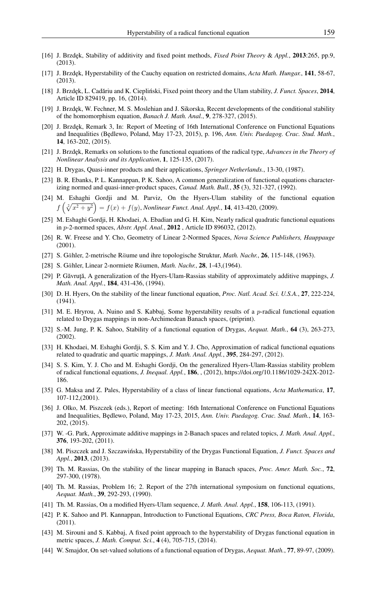- <span id="page-12-7"></span>[16] J. Brzdęk, Stability of additivity and fixed point methods, *Fixed Point Theory & Appl.*, **2013**:265, pp.9, (2013).
- <span id="page-12-5"></span>[17] J. Brzdęk, Hyperstability of the Cauchy equation on restricted domains, *Acta Math. Hungar.*, 141, 58-67, (2013).
- <span id="page-12-8"></span>[18] J. Brzdęk, L. Cadăriu and K. Ciepliński, Fixed point theory and the Ulam stability, *J. Funct. Spaces*, 2014, Article ID 829419, pp. 16, (2014).
- <span id="page-12-9"></span>[19] J. Brzdek, W. Fechner, M. S. Moslehian and J. Sikorska, Recent developments of the conditional stability of the homomorphism equation, *Banach J. Math. Anal.*, 9, 278-327, (2015).
- [20] J. Brzdęk, Remark 3, In: Report of Meeting of 16th International Conference on Functional Equations and Inequalities (Będlewo, Poland, May 17-23, 2015), p. 196, Ann. Univ. Paedagog. Crac. Stud. Math., 14, 163-202, (2015).
- [21] J. Brzdęk, Remarks on solutions to the functional equations of the radical type, *Advances in the Theory of Nonlinear Analysis and its Application*, 1, 125-135, (2017).
- <span id="page-12-10"></span>[22] H. Drygas, Quasi-inner products and their applications, *Springer Netherlands.*, 13-30, (1987).
- <span id="page-12-12"></span>[23] B. R. Ebanks, P. L. Kannappan, P. K. Sahoo, A common generalization of functional equations characterizing normed and quasi-inner-product spaces, *Canad. Math. Bull.*, 35 (3), 321-327, (1992).
- <span id="page-12-19"></span>[24] M. Eshaghi Gordji and M. Parviz, On the Hyers-Ulam stability of the functional equation  $f\left(\sqrt[2]{x^2 + y^2}\right) = f(x) + f(y)$ , *Nonlinear Funct. Anal. Appl.*, **14**, 413-420, (2009).
- <span id="page-12-18"></span>[25] M. Eshaghi Gordji, H. Khodaei, A. Ebadian and G. H. Kim, Nearly radical quadratic functional equations in p-2-normed spaces, *Abstr. Appl. Anal.*, 2012 , Article ID 896032, (2012).
- <span id="page-12-24"></span>[26] R. W. Freese and Y. Cho, Geometry of Linear 2-Normed Spaces, *Nova Science Publishers, Hauppauge* (2001).
- <span id="page-12-22"></span>[27] S. Gähler, 2-metrische Räume und ihre topologische Struktur, *Math. Nachr.*, 26, 115-148, (1963).
- <span id="page-12-23"></span>[28] S. Gähler, Linear 2-normiete Räumen, *Math. Nachr.*, **28**, 1-43, (1964).
- <span id="page-12-4"></span>[29] P. Găvruță, A generalization of the Hyers-Ulam-Rassias stability of approximately additive mappings, *J. Math. Anal. Appl.*, 184, 431-436, (1994).
- <span id="page-12-0"></span>[30] D. H. Hyers, On the stability of the linear functional equation, *Proc. Natl. Acad. Sci. U.S.A.*, 27, 222-224, (1941).
- <span id="page-12-26"></span>[31] M. E. Hryrou, A. Nuino and S. Kabbaj, Some hyperstability results of a  $p$ -radical functional equation related to Drygas mappings in non-Archimedean Banach spaces, (priprint).
- <span id="page-12-13"></span>[32] S.-M. Jung, P. K. Sahoo, Stability of a functional equation of Drygas, *Aequat. Math.*, 64 (3), 263-273, (2002).
- <span id="page-12-20"></span>[33] H. Khodaei, M. Eshaghi Gordji, S. S. Kim and Y. J. Cho, Approximation of radical functional equations related to quadratic and quartic mappings, *J. Math. Anal. Appl.*, 395, 284-297, (2012).
- <span id="page-12-21"></span>[34] S. S. Kim, Y. J. Cho and M. Eshaghi Gordji, On the generalized Hyers-Ulam-Rassias stability problem of radical functional equations, *J. Inequal. Appl.*, 186, , (2012), https://doi.org/10.1186/1029-242X-2012- 186.
- <span id="page-12-6"></span>[35] G. Maksa and Z. Pales, Hyperstability of a class of linear functional equations, *Acta Mathematica*, 17, 107-112,(2001).
- <span id="page-12-17"></span>[36] J. Olko, M. Piszczek (eds.), Report of meeting: 16th International Conference on Functional Equations and Inequalities, Bedlewo, Poland, May 17-23, 2015, *Ann. Univ. Paedagog. Crac. Stud. Math.*, 14, 163-202, (2015).
- <span id="page-12-25"></span>[37] W. -G. Park, Approximate additive mappings in 2-Banach spaces and related topics, *J. Math. Anal. Appl.*, 376, 193-202, (2011).
- <span id="page-12-15"></span>[38] M. Piszczek and J. Szczawińska, Hyperstability of the Drygas Functional Equation, *J. Funct. Spaces and Appl.*, 2013, (2013).
- <span id="page-12-1"></span>[39] Th. M. Rassias, On the stability of the linear mapping in Banach spaces, *Proc. Amer. Math. Soc.*, 72, 297-300, (1978).
- <span id="page-12-2"></span>[40] Th. M. Rassias, Problem 16; 2. Report of the 27th international symposium on functional equations, *Aequat. Math.*, 39, 292-293, (1990).
- <span id="page-12-3"></span>[41] Th. M. Rassias, On a modified Hyers-Ulam sequence, *J. Math. Anal. Appl.*, 158, 106-113, (1991).
- <span id="page-12-11"></span>[42] P. K. Sahoo and Pl. Kannappan, Introduction to Functional Equations, *CRC Press, Boca Raton, Florida*, (2011).
- <span id="page-12-16"></span>[43] M. Sirouni and S. Kabbaj, A fixed point approach to the hyperstability of Drygas functional equation in metric spaces, *J. Math. Comput. Sci.*, 4 (4), 705-715, (2014).
- <span id="page-12-14"></span>[44] W. Smajdor, On set-valued solutions of a functional equation of Drygas, *Aequat. Math.*, 77, 89-97, (2009).